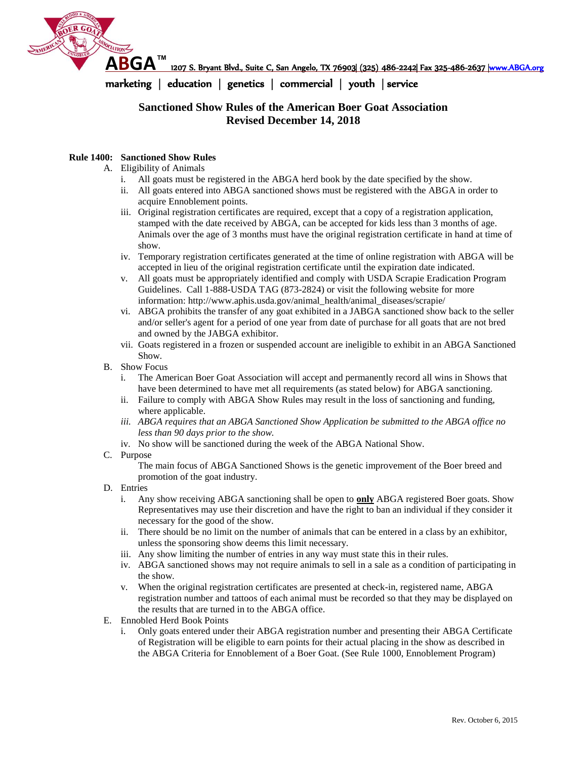

**ABGA™** 1207 S. Bryant Blvd., Suite C, San Angelo, TX 76903| (325) 486-2242| Fax 325-486-2637 [|www.ABGA.org](http://www.abga.org/)

marketing | education | genetics | commercial | youth | service

## **Sanctioned Show Rules of the American Boer Goat Association Revised December 14, 2018**

#### **Rule 1400: Sanctioned Show Rules**

- A. Eligibility of Animals
	- i. All goats must be registered in the ABGA herd book by the date specified by the show.
	- ii. All goats entered into ABGA sanctioned shows must be registered with the ABGA in order to acquire Ennoblement points.
	- iii. Original registration certificates are required, except that a copy of a registration application, stamped with the date received by ABGA, can be accepted for kids less than 3 months of age. Animals over the age of 3 months must have the original registration certificate in hand at time of show.
	- iv. Temporary registration certificates generated at the time of online registration with ABGA will be accepted in lieu of the original registration certificate until the expiration date indicated.
	- v. All goats must be appropriately identified and comply with USDA Scrapie Eradication Program Guidelines. Call 1-888-USDA TAG (873-2824) or visit the following website for more information: http://www.aphis.usda.gov/animal\_health/animal\_diseases/scrapie/
	- vi. ABGA prohibits the transfer of any goat exhibited in a JABGA sanctioned show back to the seller and/or seller's agent for a period of one year from date of purchase for all goats that are not bred and owned by the JABGA exhibitor.
	- vii. Goats registered in a frozen or suspended account are ineligible to exhibit in an ABGA Sanctioned Show.
- B. Show Focus
	- i. The American Boer Goat Association will accept and permanently record all wins in Shows that have been determined to have met all requirements (as stated below) for ABGA sanctioning.
	- ii. Failure to comply with ABGA Show Rules may result in the loss of sanctioning and funding, where applicable.
	- *iii. ABGA requires that an ABGA Sanctioned Show Application be submitted to the ABGA office no less than 90 days prior to the show.*
	- iv. No show will be sanctioned during the week of the ABGA National Show.
- C. Purpose

The main focus of ABGA Sanctioned Shows is the genetic improvement of the Boer breed and promotion of the goat industry.

- D. Entries
	- i. Any show receiving ABGA sanctioning shall be open to **only** ABGA registered Boer goats. Show Representatives may use their discretion and have the right to ban an individual if they consider it necessary for the good of the show.
	- ii. There should be no limit on the number of animals that can be entered in a class by an exhibitor, unless the sponsoring show deems this limit necessary.
	- iii. Any show limiting the number of entries in any way must state this in their rules.
	- iv. ABGA sanctioned shows may not require animals to sell in a sale as a condition of participating in the show.
	- v. When the original registration certificates are presented at check-in, registered name, ABGA registration number and tattoos of each animal must be recorded so that they may be displayed on the results that are turned in to the ABGA office.
- E. Ennobled Herd Book Points
	- i. Only goats entered under their ABGA registration number and presenting their ABGA Certificate of Registration will be eligible to earn points for their actual placing in the show as described in the ABGA Criteria for Ennoblement of a Boer Goat. (See Rule 1000, Ennoblement Program)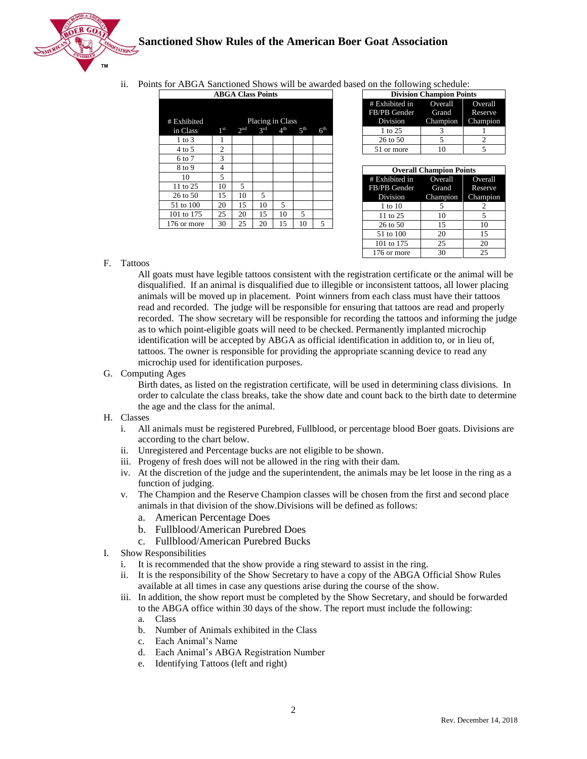

ii. Points for ABGA Sanctioned Shows will be awarded based on the following schedule:

| <b>ABGA Class Points</b> |                  |                 |     |                 |                 |                 |  |
|--------------------------|------------------|-----------------|-----|-----------------|-----------------|-----------------|--|
|                          |                  |                 |     |                 |                 |                 |  |
| # Exhibited              | Placing in Class |                 |     |                 |                 |                 |  |
| in Class                 | 1 <sup>st</sup>  | 2 <sub>nd</sub> | 2rd | 4 <sup>th</sup> | 5 <sup>th</sup> | 6 <sup>th</sup> |  |
| $1$ to $3$               | 1                |                 |     |                 |                 |                 |  |
| 4 to 5                   | 2                |                 |     |                 |                 |                 |  |
| 6 to 7                   | 3                |                 |     |                 |                 |                 |  |
| 8 to 9                   | 4                |                 |     |                 |                 |                 |  |
| 10                       | 5                |                 |     |                 |                 |                 |  |
| 11 to 25                 | 10               | 5               |     |                 |                 |                 |  |
| 26 to 50                 | 15               | 10              | 5   |                 |                 |                 |  |
| 51 to 100                | 20               | 15              | 10  | 5               |                 |                 |  |
| 101 to 175               | 25               | 20              | 15  | 10              | 5               |                 |  |
| 176 or more              | 30               | 25              | 20  | 15              | 10              | 5               |  |

| <b>Division Champion Points</b> |  |                   |  |  |  |
|---------------------------------|--|-------------------|--|--|--|
| # Exhibited in Overall Overall  |  |                   |  |  |  |
| FB/PB Gender Grand Reserve      |  |                   |  |  |  |
| Division                        |  | Champion Champion |  |  |  |
| 1 to 25                         |  |                   |  |  |  |
| 26 to 50                        |  |                   |  |  |  |
| 51 or more                      |  |                   |  |  |  |

| <b>Overall Champion Points</b> |                   |    |  |  |  |
|--------------------------------|-------------------|----|--|--|--|
| # Exhibited in Overall Overall |                   |    |  |  |  |
| FB/PB Gender Grand Reserve     |                   |    |  |  |  |
| Division                       | Champion Champion |    |  |  |  |
| 1 to 10                        | 5                 | 2  |  |  |  |
| 11 to 25                       | 10                | 5  |  |  |  |
| 26 to 50                       | 15                | 10 |  |  |  |
| 51 to 100                      | 20                | 15 |  |  |  |
| 101 to 175                     | 25                | 20 |  |  |  |
| 176 or more                    | 30                | 25 |  |  |  |

#### F. Tattoos

All goats must have legible tattoos consistent with the registration certificate or the animal will be disqualified. If an animal is disqualified due to illegible or inconsistent tattoos, all lower placing animals will be moved up in placement. Point winners from each class must have their tattoos read and recorded. The judge will be responsible for ensuring that tattoos are read and properly recorded. The show secretary will be responsible for recording the tattoos and informing the judge as to which point-eligible goats will need to be checked. Permanently implanted microchip identification will be accepted by ABGA as official identification in addition to, or in lieu of, tattoos. The owner is responsible for providing the appropriate scanning device to read any microchip used for identification purposes.

G. Computing Ages

Birth dates, as listed on the registration certificate, will be used in determining class divisions. In order to calculate the class breaks, take the show date and count back to the birth date to determine the age and the class for the animal.

- H. Classes
	- i. All animals must be registered Purebred, Fullblood, or percentage blood Boer goats. Divisions are according to the chart below.
	- ii. Unregistered and Percentage bucks are not eligible to be shown.
	- iii. Progeny of fresh does will not be allowed in the ring with their dam.
	- iv. At the discretion of the judge and the superintendent, the animals may be let loose in the ring as a function of judging.
	- v. The Champion and the Reserve Champion classes will be chosen from the first and second place animals in that division of the show.Divisions will be defined as follows:
		- a. American Percentage Does
		- b. Fullblood/American Purebred Does
		- c. Fullblood/American Purebred Bucks
- I. Show Responsibilities
	- i. It is recommended that the show provide a ring steward to assist in the ring.
	- ii. It is the responsibility of the Show Secretary to have a copy of the ABGA Official Show Rules available at all times in case any questions arise during the course of the show.
	- iii. In addition, the show report must be completed by the Show Secretary, and should be forwarded to the ABGA office within 30 days of the show. The report must include the following:
		- a. Class
		- b. Number of Animals exhibited in the Class
		- c. Each Animal's Name
		- d. Each Animal's ABGA Registration Number
		- e. Identifying Tattoos (left and right)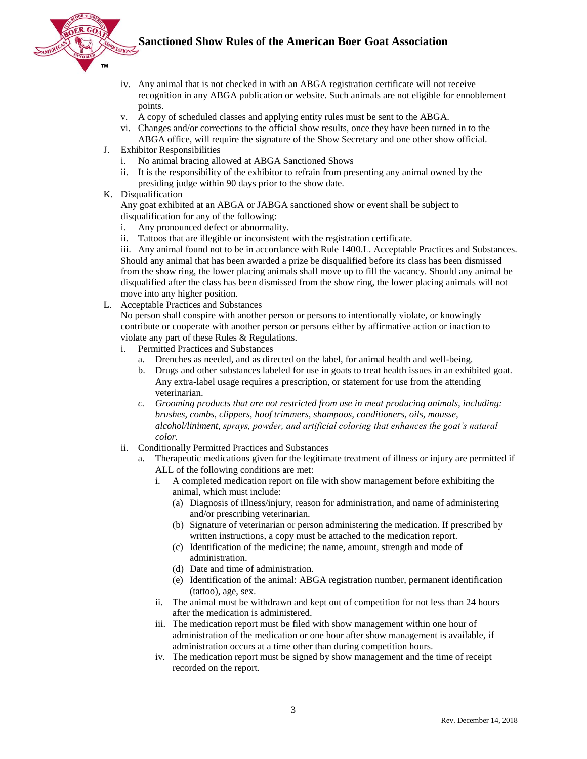

- iv. Any animal that is not checked in with an ABGA registration certificate will not receive recognition in any ABGA publication or website. Such animals are not eligible for ennoblement points.
- v. A copy of scheduled classes and applying entity rules must be sent to the ABGA.
- vi. Changes and/or corrections to the official show results, once they have been turned in to the ABGA office, will require the signature of the Show Secretary and one other show official.
- J. Exhibitor Responsibilities
	- No animal bracing allowed at ABGA Sanctioned Shows
	- ii. It is the responsibility of the exhibitor to refrain from presenting any animal owned by the presiding judge within 90 days prior to the show date.
- K. Disqualification

Any goat exhibited at an ABGA or JABGA sanctioned show or event shall be subject to disqualification for any of the following:

- i. Any pronounced defect or abnormality.
- ii. Tattoos that are illegible or inconsistent with the registration certificate.

iii. Any animal found not to be in accordance with Rule 1400.L. Acceptable Practices and Substances. Should any animal that has been awarded a prize be disqualified before its class has been dismissed from the show ring, the lower placing animals shall move up to fill the vacancy. Should any animal be disqualified after the class has been dismissed from the show ring, the lower placing animals will not move into any higher position.

L. Acceptable Practices and Substances

No person shall conspire with another person or persons to intentionally violate, or knowingly contribute or cooperate with another person or persons either by affirmative action or inaction to violate any part of these Rules & Regulations.

- i. Permitted Practices and Substances
	- a. Drenches as needed, and as directed on the label, for animal health and well-being.
	- b. Drugs and other substances labeled for use in goats to treat health issues in an exhibited goat. Any extra-label usage requires a prescription, or statement for use from the attending veterinarian.
	- *c. Grooming products that are not restricted from use in meat producing animals, including: brushes, combs, clippers, hoof trimmers, shampoos, conditioners, oils, mousse, alcohol/liniment, sprays, powder, and artificial coloring that enhances the goat's natural color.*
- ii. Conditionally Permitted Practices and Substances
	- a. Therapeutic medications given for the legitimate treatment of illness or injury are permitted if ALL of the following conditions are met:
		- A completed medication report on file with show management before exhibiting the animal, which must include:
			- (a) Diagnosis of illness/injury, reason for administration, and name of administering and/or prescribing veterinarian.
			- (b) Signature of veterinarian or person administering the medication. If prescribed by written instructions, a copy must be attached to the medication report.
			- (c) Identification of the medicine; the name, amount, strength and mode of administration.
			- (d) Date and time of administration.
			- (e) Identification of the animal: ABGA registration number, permanent identification (tattoo), age, sex.
		- ii. The animal must be withdrawn and kept out of competition for not less than 24 hours after the medication is administered.
		- iii. The medication report must be filed with show management within one hour of administration of the medication or one hour after show management is available, if administration occurs at a time other than during competition hours.
		- iv. The medication report must be signed by show management and the time of receipt recorded on the report.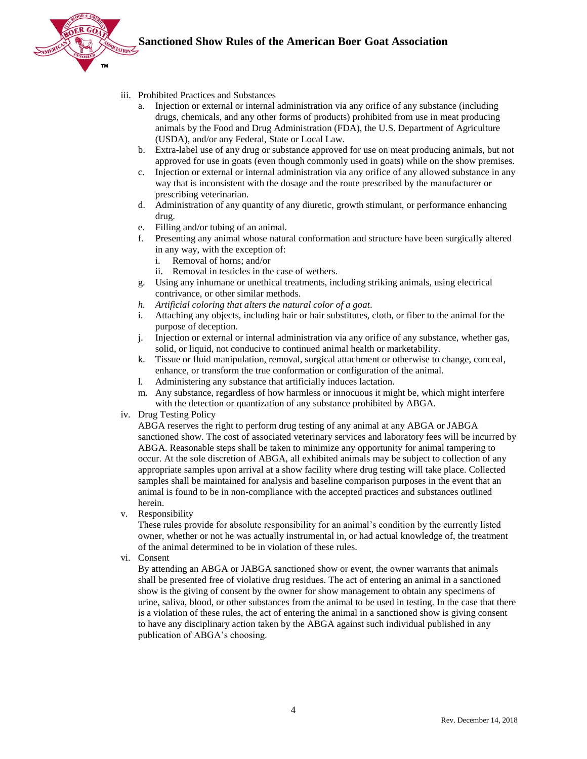

- iii. Prohibited Practices and Substances
	- a. Injection or external or internal administration via any orifice of any substance (including drugs, chemicals, and any other forms of products) prohibited from use in meat producing animals by the Food and Drug Administration (FDA), the U.S. Department of Agriculture (USDA), and/or any Federal, State or Local Law.
	- b. Extra-label use of any drug or substance approved for use on meat producing animals, but not approved for use in goats (even though commonly used in goats) while on the show premises.
	- c. Injection or external or internal administration via any orifice of any allowed substance in any way that is inconsistent with the dosage and the route prescribed by the manufacturer or prescribing veterinarian.
	- d. Administration of any quantity of any diuretic, growth stimulant, or performance enhancing drug.
	- e. Filling and/or tubing of an animal.
	- f. Presenting any animal whose natural conformation and structure have been surgically altered in any way, with the exception of:
		- i. Removal of horns; and/or
		- ii. Removal in testicles in the case of wethers.
	- g. Using any inhumane or unethical treatments, including striking animals, using electrical contrivance, or other similar methods.
	- *h. Artificial coloring that alters the natural color of a goat.*
	- i. Attaching any objects, including hair or hair substitutes, cloth, or fiber to the animal for the purpose of deception.
	- j. Injection or external or internal administration via any orifice of any substance, whether gas, solid, or liquid, not conducive to continued animal health or marketability.
	- k. Tissue or fluid manipulation, removal, surgical attachment or otherwise to change, conceal, enhance, or transform the true conformation or configuration of the animal.
	- l. Administering any substance that artificially induces lactation.
	- m. Any substance, regardless of how harmless or innocuous it might be, which might interfere with the detection or quantization of any substance prohibited by ABGA.
- iv. Drug Testing Policy

ABGA reserves the right to perform drug testing of any animal at any ABGA or JABGA sanctioned show. The cost of associated veterinary services and laboratory fees will be incurred by ABGA. Reasonable steps shall be taken to minimize any opportunity for animal tampering to occur. At the sole discretion of ABGA, all exhibited animals may be subject to collection of any appropriate samples upon arrival at a show facility where drug testing will take place. Collected samples shall be maintained for analysis and baseline comparison purposes in the event that an animal is found to be in non-compliance with the accepted practices and substances outlined herein.

v. Responsibility

These rules provide for absolute responsibility for an animal's condition by the currently listed owner, whether or not he was actually instrumental in, or had actual knowledge of, the treatment of the animal determined to be in violation of these rules.

vi. Consent

By attending an ABGA or JABGA sanctioned show or event, the owner warrants that animals shall be presented free of violative drug residues. The act of entering an animal in a sanctioned show is the giving of consent by the owner for show management to obtain any specimens of urine, saliva, blood, or other substances from the animal to be used in testing. In the case that there is a violation of these rules, the act of entering the animal in a sanctioned show is giving consent to have any disciplinary action taken by the ABGA against such individual published in any publication of ABGA's choosing.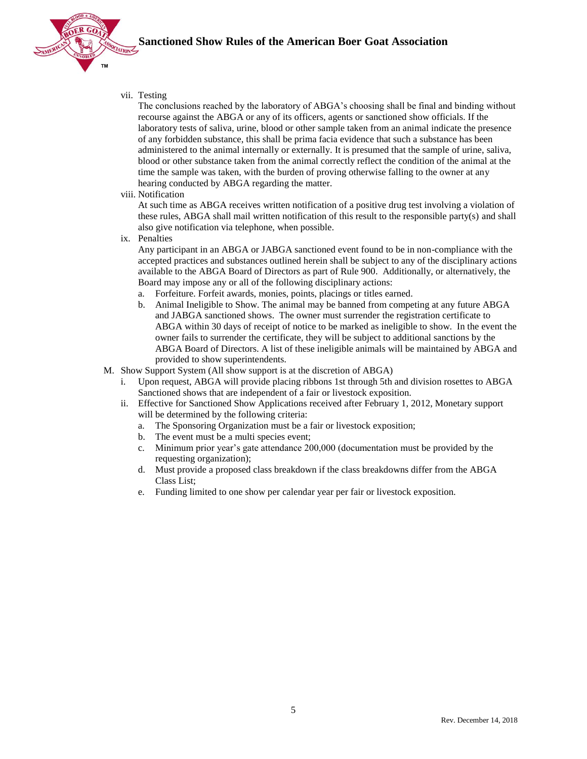

vii. Testing

The conclusions reached by the laboratory of ABGA's choosing shall be final and binding without recourse against the ABGA or any of its officers, agents or sanctioned show officials. If the laboratory tests of saliva, urine, blood or other sample taken from an animal indicate the presence of any forbidden substance, this shall be prima facia evidence that such a substance has been administered to the animal internally or externally. It is presumed that the sample of urine, saliva, blood or other substance taken from the animal correctly reflect the condition of the animal at the time the sample was taken, with the burden of proving otherwise falling to the owner at any hearing conducted by ABGA regarding the matter.

viii. Notification

At such time as ABGA receives written notification of a positive drug test involving a violation of these rules, ABGA shall mail written notification of this result to the responsible party(s) and shall also give notification via telephone, when possible.

ix. Penalties

Any participant in an ABGA or JABGA sanctioned event found to be in non-compliance with the accepted practices and substances outlined herein shall be subject to any of the disciplinary actions available to the ABGA Board of Directors as part of Rule 900. Additionally, or alternatively, the Board may impose any or all of the following disciplinary actions:

- a. Forfeiture. Forfeit awards, monies, points, placings or titles earned.
- b. Animal Ineligible to Show. The animal may be banned from competing at any future ABGA and JABGA sanctioned shows. The owner must surrender the registration certificate to ABGA within 30 days of receipt of notice to be marked as ineligible to show. In the event the owner fails to surrender the certificate, they will be subject to additional sanctions by the ABGA Board of Directors. A list of these ineligible animals will be maintained by ABGA and provided to show superintendents.
- M. Show Support System (All show support is at the discretion of ABGA)
	- i. Upon request, ABGA will provide placing ribbons 1st through 5th and division rosettes to ABGA Sanctioned shows that are independent of a fair or livestock exposition.
	- ii. Effective for Sanctioned Show Applications received after February 1, 2012, Monetary support will be determined by the following criteria:
		- a. The Sponsoring Organization must be a fair or livestock exposition;
		- b. The event must be a multi species event;
		- c. Minimum prior year's gate attendance 200,000 (documentation must be provided by the requesting organization);
		- d. Must provide a proposed class breakdown if the class breakdowns differ from the ABGA Class List;
		- e. Funding limited to one show per calendar year per fair or livestock exposition.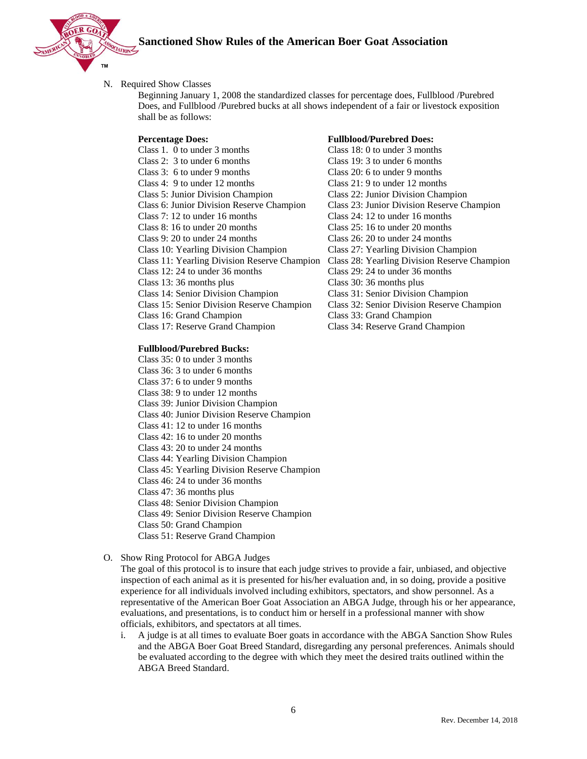

#### N. Required Show Classes

Beginning January 1, 2008 the standardized classes for percentage does, Fullblood /Purebred Does, and Fullblood /Purebred bucks at all shows independent of a fair or livestock exposition shall be as follows:

Class 1. 0 to under 3 months Class 18: 0 to under 3 months Class 2: 3 to under 6 months Class 19: 3 to under 6 months Class 3: 6 to under 9 months Class 20: 6 to under 9 months Class 4: 9 to under 12 months Class 21: 9 to under 12 months Class 5: Junior Division Champion Class 22: Junior Division Champion Class 6: Junior Division Reserve Champion Class 23: Junior Division Reserve Champion Class 7: 12 to under 16 months Class 24: 12 to under 16 months Class 8: 16 to under 20 months Class 25: 16 to under 20 months Class 9: 20 to under 24 months Class 26: 20 to under 24 months Class 10: Yearling Division Champion Class 27: Yearling Division Champion Class 11: Yearling Division Reserve Champion Class 28: Yearling Division Reserve Champion Class 12: 24 to under 36 months Class 29: 24 to under 36 months Class 13: 36 months plus Class 30: 36 months plus Class 14: Senior Division Champion Class 31: Senior Division Champion Class 15: Senior Division Reserve Champion Class 32: Senior Division Reserve Champion Class 16: Grand Champion Class 33: Grand Champion Class 17: Reserve Grand Champion Class 34: Reserve Grand Champion

#### **Fullblood/Purebred Bucks:**

- Class 35: 0 to under 3 months
- Class 36: 3 to under 6 months
- Class 37: 6 to under 9 months
- Class 38: 9 to under 12 months
- Class 39: Junior Division Champion
- Class 40: Junior Division Reserve Champion
- Class 41: 12 to under 16 months
- Class 42: 16 to under 20 months
- Class 43: 20 to under 24 months
- Class 44: Yearling Division Champion
- Class 45: Yearling Division Reserve Champion
- Class 46: 24 to under 36 months
- Class 47: 36 months plus
- Class 48: Senior Division Champion
- Class 49: Senior Division Reserve Champion
- Class 50: Grand Champion
- Class 51: Reserve Grand Champion
- O. Show Ring Protocol for ABGA Judges

The goal of this protocol is to insure that each judge strives to provide a fair, unbiased, and objective inspection of each animal as it is presented for his/her evaluation and, in so doing, provide a positive experience for all individuals involved including exhibitors, spectators, and show personnel. As a representative of the American Boer Goat Association an ABGA Judge, through his or her appearance, evaluations, and presentations, is to conduct him or herself in a professional manner with show officials, exhibitors, and spectators at all times.

i. A judge is at all times to evaluate Boer goats in accordance with the ABGA Sanction Show Rules and the ABGA Boer Goat Breed Standard, disregarding any personal preferences. Animals should be evaluated according to the degree with which they meet the desired traits outlined within the ABGA Breed Standard.

#### **Percentage Does: Fullblood/Purebred Does:**

- 
-